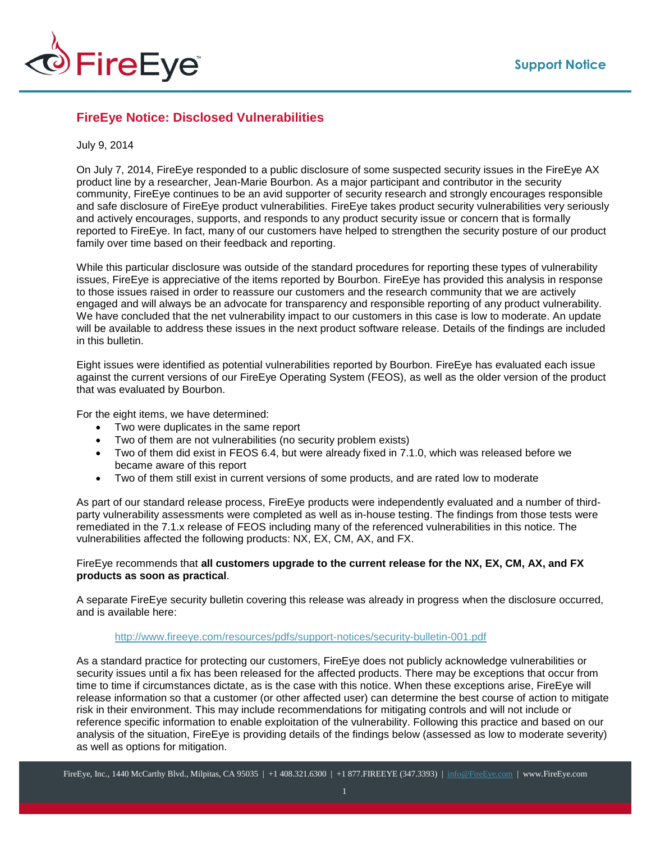

# **FireEye Notice: Disclosed Vulnerabilities**

#### July 9, 2014

On July 7, 2014, FireEye responded to a public disclosure of some suspected security issues in the FireEye AX product line by a researcher, Jean-Marie Bourbon. As a major participant and contributor in the security community, FireEye continues to be an avid supporter of security research and strongly encourages responsible and safe disclosure of FireEye product vulnerabilities. FireEye takes product security vulnerabilities very seriously and actively encourages, supports, and responds to any product security issue or concern that is formally reported to FireEye. In fact, many of our customers have helped to strengthen the security posture of our product family over time based on their feedback and reporting.

While this particular disclosure was outside of the standard procedures for reporting these types of vulnerability issues, FireEye is appreciative of the items reported by Bourbon. FireEye has provided this analysis in response to those issues raised in order to reassure our customers and the research community that we are actively engaged and will always be an advocate for transparency and responsible reporting of any product vulnerability. We have concluded that the net vulnerability impact to our customers in this case is low to moderate. An update will be available to address these issues in the next product software release. Details of the findings are included in this bulletin.

Eight issues were identified as potential vulnerabilities reported by Bourbon. FireEye has evaluated each issue against the current versions of our FireEye Operating System (FEOS), as well as the older version of the product that was evaluated by Bourbon.

For the eight items, we have determined:

- Two were duplicates in the same report
- Two of them are not vulnerabilities (no security problem exists)
- Two of them did exist in FEOS 6.4, but were already fixed in 7.1.0, which was released before we became aware of this report
- Two of them still exist in current versions of some products, and are rated low to moderate

As part of our standard release process, FireEye products were independently evaluated and a number of thirdparty vulnerability assessments were completed as well as in-house testing. The findings from those tests were remediated in the 7.1.x release of FEOS including many of the referenced vulnerabilities in this notice. The vulnerabilities affected the following products: NX, EX, CM, AX, and FX.

## FireEye recommends that **all customers upgrade to the current release for the NX, EX, CM, AX, and FX products as soon as practical**.

A separate FireEye security bulletin covering this release was already in progress when the disclosure occurred, and is available here:

## <http://www.fireeye.com/resources/pdfs/support-notices/security-bulletin-001.pdf>

As a standard practice for protecting our customers, FireEye does not publicly acknowledge vulnerabilities or security issues until a fix has been released for the affected products. There may be exceptions that occur from time to time if circumstances dictate, as is the case with this notice. When these exceptions arise, FireEye will release information so that a customer (or other affected user) can determine the best course of action to mitigate risk in their environment. This may include recommendations for mitigating controls and will not include or reference specific information to enable exploitation of the vulnerability. Following this practice and based on our analysis of the situation, FireEye is providing details of the findings below (assessed as low to moderate severity) as well as options for mitigation.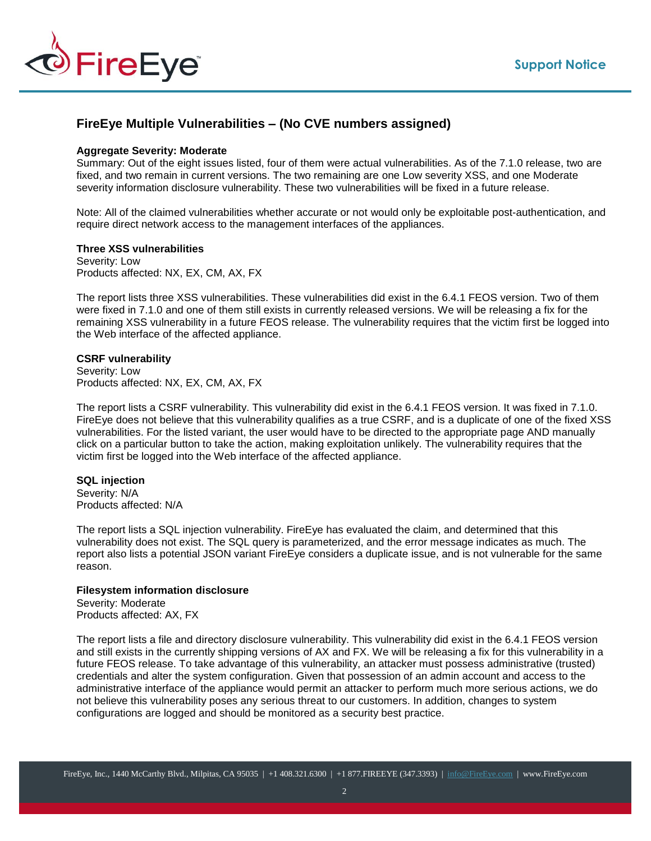

# **FireEye Multiple Vulnerabilities – (No CVE numbers assigned)**

## **Aggregate Severity: Moderate**

Summary: Out of the eight issues listed, four of them were actual vulnerabilities. As of the 7.1.0 release, two are fixed, and two remain in current versions. The two remaining are one Low severity XSS, and one Moderate severity information disclosure vulnerability. These two vulnerabilities will be fixed in a future release.

Note: All of the claimed vulnerabilities whether accurate or not would only be exploitable post-authentication, and require direct network access to the management interfaces of the appliances.

## **Three XSS vulnerabilities**

Severity: Low Products affected: NX, EX, CM, AX, FX

The report lists three XSS vulnerabilities. These vulnerabilities did exist in the 6.4.1 FEOS version. Two of them were fixed in 7.1.0 and one of them still exists in currently released versions. We will be releasing a fix for the remaining XSS vulnerability in a future FEOS release. The vulnerability requires that the victim first be logged into the Web interface of the affected appliance.

#### **CSRF vulnerability**

Severity: Low Products affected: NX, EX, CM, AX, FX

The report lists a CSRF vulnerability. This vulnerability did exist in the 6.4.1 FEOS version. It was fixed in 7.1.0. FireEye does not believe that this vulnerability qualifies as a true CSRF, and is a duplicate of one of the fixed XSS vulnerabilities. For the listed variant, the user would have to be directed to the appropriate page AND manually click on a particular button to take the action, making exploitation unlikely. The vulnerability requires that the victim first be logged into the Web interface of the affected appliance.

#### **SQL injection**

Severity: N/A Products affected: N/A

The report lists a SQL injection vulnerability. FireEye has evaluated the claim, and determined that this vulnerability does not exist. The SQL query is parameterized, and the error message indicates as much. The report also lists a potential JSON variant FireEye considers a duplicate issue, and is not vulnerable for the same reason.

#### **Filesystem information disclosure**

Severity: Moderate Products affected: AX, FX

The report lists a file and directory disclosure vulnerability. This vulnerability did exist in the 6.4.1 FEOS version and still exists in the currently shipping versions of AX and FX. We will be releasing a fix for this vulnerability in a future FEOS release. To take advantage of this vulnerability, an attacker must possess administrative (trusted) credentials and alter the system configuration. Given that possession of an admin account and access to the administrative interface of the appliance would permit an attacker to perform much more serious actions, we do not believe this vulnerability poses any serious threat to our customers. In addition, changes to system configurations are logged and should be monitored as a security best practice.